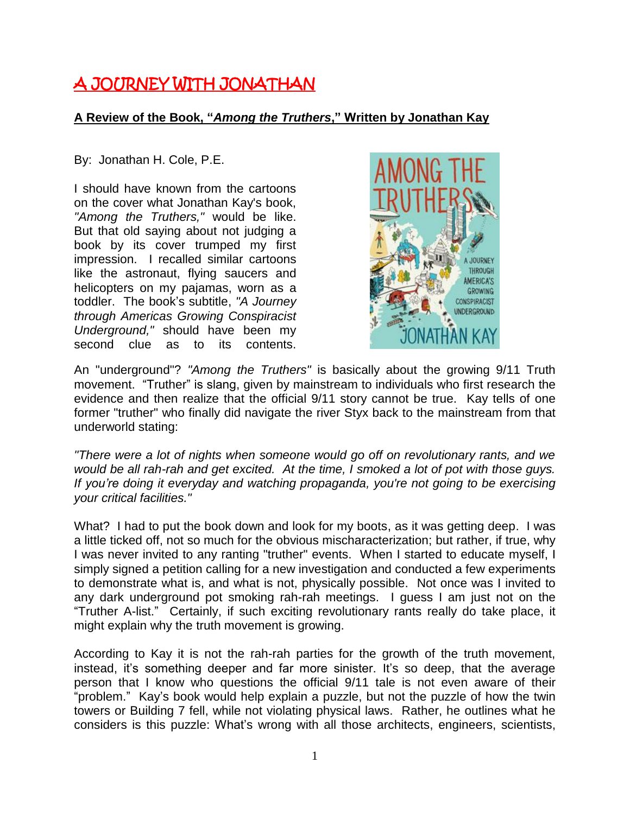## A JOURNEY WITH JONATHAN

## **A Review of the Book, "***Among the Truthers***," Written by Jonathan Kay**

By: Jonathan H. Cole, P.E.

I should have known from the cartoons on the cover what Jonathan Kay's book, *"Among the Truthers,"* would be like. But that old saying about not judging a book by its cover trumped my first impression. I recalled similar cartoons like the astronaut, flying saucers and helicopters on my pajamas, worn as a toddler. The book's subtitle, *"A Journey through Americas Growing Conspiracist Underground,"* should have been my second clue as to its contents.



An "underground"? *"Among the Truthers"* is basically about the growing 9/11 Truth movement. "Truther" is slang, given by mainstream to individuals who first research the evidence and then realize that the official 9/11 story cannot be true. Kay tells of one former "truther" who finally did navigate the river Styx back to the mainstream from that underworld stating:

*"There were a lot of nights when someone would go off on revolutionary rants, and we would be all rah-rah and get excited. At the time, I smoked a lot of pot with those guys. If you're doing it everyday and watching propaganda, you're not going to be exercising your critical facilities."*

What? I had to put the book down and look for my boots, as it was getting deep. I was a little ticked off, not so much for the obvious mischaracterization; but rather, if true, why I was never invited to any ranting "truther" events. When I started to educate myself, I simply signed a petition calling for a new investigation and conducted a few experiments to demonstrate what is, and what is not, physically possible. Not once was I invited to any dark underground pot smoking rah-rah meetings. I guess I am just not on the "Truther A-list." Certainly, if such exciting revolutionary rants really do take place, it might explain why the truth movement is growing.

According to Kay it is not the rah-rah parties for the growth of the truth movement, instead, it's something deeper and far more sinister. It's so deep, that the average person that I know who questions the official 9/11 tale is not even aware of their "problem." Kay's book would help explain a puzzle, but not the puzzle of how the twin towers or Building 7 fell, while not violating physical laws. Rather, he outlines what he considers is this puzzle: What's wrong with all those architects, engineers, scientists,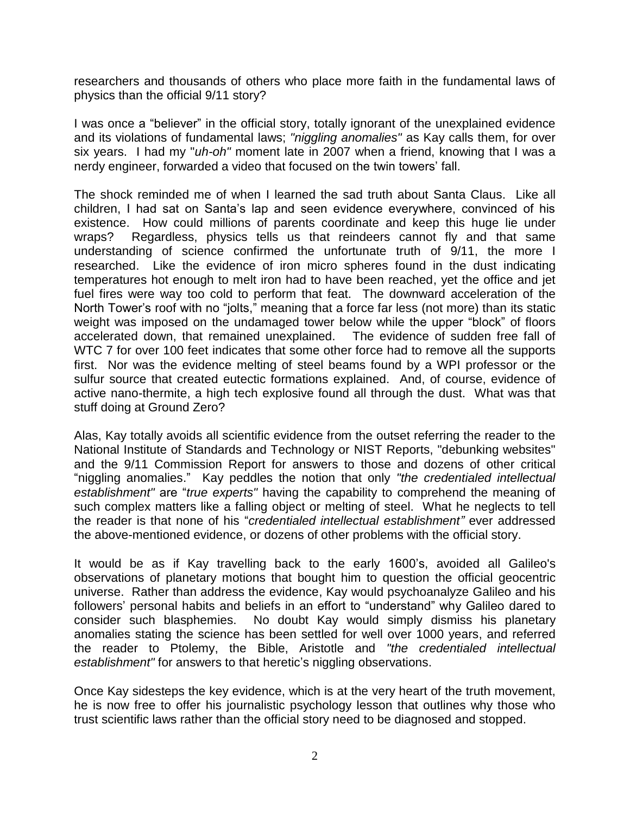researchers and thousands of others who place more faith in the fundamental laws of physics than the official 9/11 story?

I was once a "believer" in the official story, totally ignorant of the unexplained evidence and its violations of fundamental laws; *"niggling anomalies"* as Kay calls them, for over six years. I had my "*uh-oh"* moment late in 2007 when a friend, knowing that I was a nerdy engineer, forwarded a video that focused on the twin towers' fall.

The shock reminded me of when I learned the sad truth about Santa Claus. Like all children, I had sat on Santa's lap and seen evidence everywhere, convinced of his existence. How could millions of parents coordinate and keep this huge lie under wraps? Regardless, physics tells us that reindeers cannot fly and that same understanding of science confirmed the unfortunate truth of 9/11, the more I researched. Like the evidence of iron micro spheres found in the dust indicating temperatures hot enough to melt iron had to have been reached, yet the office and jet fuel fires were way too cold to perform that feat. The downward acceleration of the North Tower's roof with no "jolts," meaning that a force far less (not more) than its static weight was imposed on the undamaged tower below while the upper "block" of floors accelerated down, that remained unexplained. The evidence of sudden free fall of WTC 7 for over 100 feet indicates that some other force had to remove all the supports first. Nor was the evidence melting of steel beams found by a WPI professor or the sulfur source that created eutectic formations explained. And, of course, evidence of active nano-thermite, a high tech explosive found all through the dust. What was that stuff doing at Ground Zero?

Alas, Kay totally avoids all scientific evidence from the outset referring the reader to the National Institute of Standards and Technology or NIST Reports, "debunking websites" and the 9/11 Commission Report for answers to those and dozens of other critical "niggling anomalies." Kay peddles the notion that only *"the credentialed intellectual establishment"* are "*true experts"* having the capability to comprehend the meaning of such complex matters like a falling object or melting of steel. What he neglects to tell the reader is that none of his "*credentialed intellectual establishment"* ever addressed the above-mentioned evidence, or dozens of other problems with the official story.

It would be as if Kay travelling back to the early 1600's, avoided all Galileo's observations of planetary motions that bought him to question the official geocentric universe. Rather than address the evidence, Kay would psychoanalyze Galileo and his followers' personal habits and beliefs in an effort to "understand" why Galileo dared to consider such blasphemies. No doubt Kay would simply dismiss his planetary anomalies stating the science has been settled for well over 1000 years, and referred the reader to Ptolemy, the Bible, Aristotle and *"the credentialed intellectual establishment"* for answers to that heretic's niggling observations.

Once Kay sidesteps the key evidence, which is at the very heart of the truth movement, he is now free to offer his journalistic psychology lesson that outlines why those who trust scientific laws rather than the official story need to be diagnosed and stopped.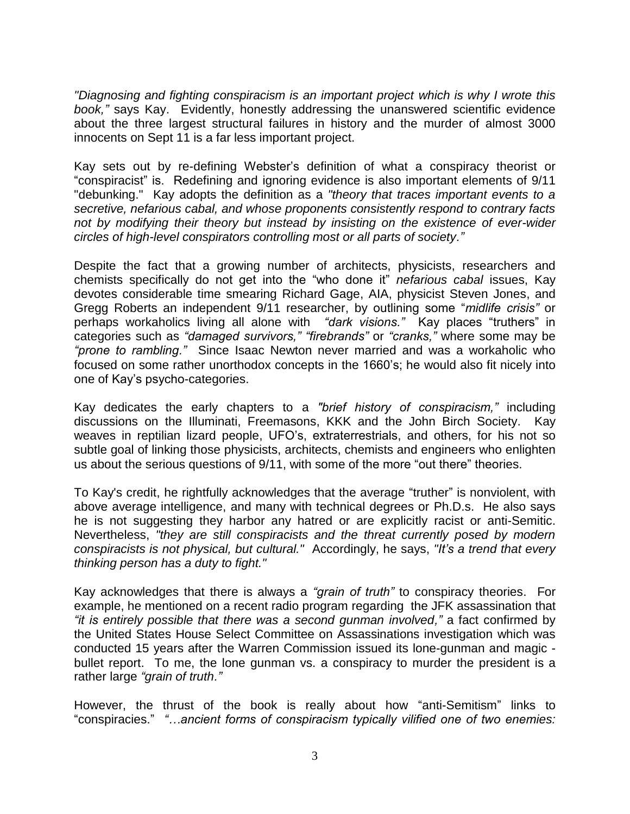*"Diagnosing and fighting conspiracism is an important project which is why I wrote this book,"* says Kay. Evidently, honestly addressing the unanswered scientific evidence about the three largest structural failures in history and the murder of almost 3000 innocents on Sept 11 is a far less important project.

Kay sets out by re-defining Webster's definition of what a conspiracy theorist or "conspiracist" is. Redefining and ignoring evidence is also important elements of 9/11 "debunking." Kay adopts the definition as a *"theory that traces important events to a secretive, nefarious cabal, and whose proponents consistently respond to contrary facts not by modifying their theory but instead by insisting on the existence of ever-wider circles of high-level conspirators controlling most or all parts of society."*

Despite the fact that a growing number of architects, physicists, researchers and chemists specifically do not get into the "who done it" *nefarious cabal* issues, Kay devotes considerable time smearing Richard Gage, AIA, physicist Steven Jones, and Gregg Roberts an independent 9/11 researcher, by outlining some "*midlife crisis"* or perhaps workaholics living all alone with *"dark visions."* Kay places "truthers" in categories such as *"damaged survivors," "firebrands"* or *"cranks,"* where some may be *"prone to rambling."* Since Isaac Newton never married and was a workaholic who focused on some rather unorthodox concepts in the 1660's; he would also fit nicely into one of Kay's psycho-categories.

Kay dedicates the early chapters to a *"brief history of conspiracism,"* including discussions on the Illuminati, Freemasons, KKK and the John Birch Society. Kay weaves in reptilian lizard people, UFO's, extraterrestrials, and others, for his not so subtle goal of linking those physicists, architects, chemists and engineers who enlighten us about the serious questions of 9/11, with some of the more "out there" theories.

To Kay's credit, he rightfully acknowledges that the average "truther" is nonviolent, with above average intelligence, and many with technical degrees or Ph.D.s. He also says he is not suggesting they harbor any hatred or are explicitly racist or anti-Semitic. Nevertheless, *"they are still conspiracists and the threat currently posed by modern conspiracists is not physical, but cultural."* Accordingly, he says, *"It's a trend that every thinking person has a duty to fight."*

Kay acknowledges that there is always a *"grain of truth"* to conspiracy theories. For example, he mentioned on a recent radio program regarding the JFK assassination that *"it is entirely possible that there was a second gunman involved,"* a fact confirmed by the United States House Select Committee on Assassinations investigation which was conducted 15 years after the Warren Commission issued its lone-gunman and magic bullet report. To me, the lone gunman vs. a conspiracy to murder the president is a rather large *"grain of truth."*

However, the thrust of the book is really about how "anti-Semitism" links to "conspiracies." *"…ancient forms of conspiracism typically vilified one of two enemies:*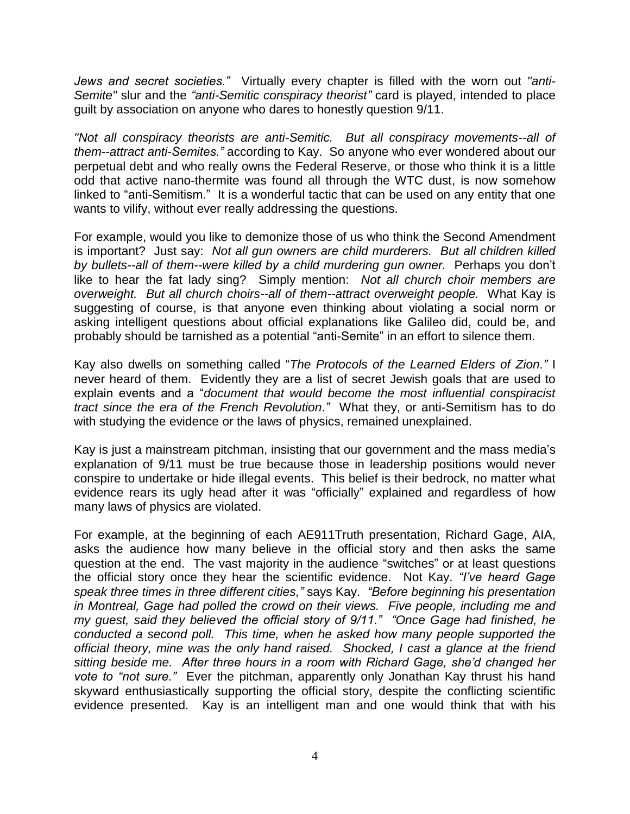*Jews and secret societies."* Virtually every chapter is filled with the worn out *"anti-Semite"* slur and the *"anti-Semitic conspiracy theorist"* card is played, intended to place guilt by association on anyone who dares to honestly question 9/11.

*"Not all conspiracy theorists are anti-Semitic. But all conspiracy movements--all of them--attract anti-Semites."* according to Kay. So anyone who ever wondered about our perpetual debt and who really owns the Federal Reserve, or those who think it is a little odd that active nano-thermite was found all through the WTC dust, is now somehow linked to "anti-Semitism." It is a wonderful tactic that can be used on any entity that one wants to vilify, without ever really addressing the questions.

For example, would you like to demonize those of us who think the Second Amendment is important? Just say: *Not all gun owners are child murderers. But all children killed by bullets--all of them--were killed by a child murdering gun owner.* Perhaps you don't like to hear the fat lady sing? Simply mention: *Not all church choir members are overweight. But all church choirs--all of them--attract overweight people.* What Kay is suggesting of course, is that anyone even thinking about violating a social norm or asking intelligent questions about official explanations like Galileo did, could be, and probably should be tarnished as a potential "anti-Semite" in an effort to silence them.

Kay also dwells on something called "*The Protocols of the Learned Elders of Zion."* I never heard of them. Evidently they are a list of secret Jewish goals that are used to explain events and a "*document that would become the most influential conspiracist tract since the era of the French Revolution."* What they, or anti-Semitism has to do with studying the evidence or the laws of physics, remained unexplained.

Kay is just a mainstream pitchman, insisting that our government and the mass media's explanation of 9/11 must be true because those in leadership positions would never conspire to undertake or hide illegal events. This belief is their bedrock, no matter what evidence rears its ugly head after it was "officially" explained and regardless of how many laws of physics are violated.

For example, at the beginning of each AE911Truth presentation, Richard Gage, AIA, asks the audience how many believe in the official story and then asks the same question at the end. The vast majority in the audience "switches" or at least questions the official story once they hear the scientific evidence. Not Kay. *"I've heard Gage speak three times in three different cities,"* says Kay. *"Before beginning his presentation in Montreal, Gage had polled the crowd on their views. Five people, including me and my guest, said they believed the official story of 9/11." "Once Gage had finished, he conducted a second poll. This time, when he asked how many people supported the official theory, mine was the only hand raised. Shocked, I cast a glance at the friend sitting beside me. After three hours in a room with Richard Gage, she'd changed her vote to "not sure."* Ever the pitchman, apparently only Jonathan Kay thrust his hand skyward enthusiastically supporting the official story, despite the conflicting scientific evidence presented. Kay is an intelligent man and one would think that with his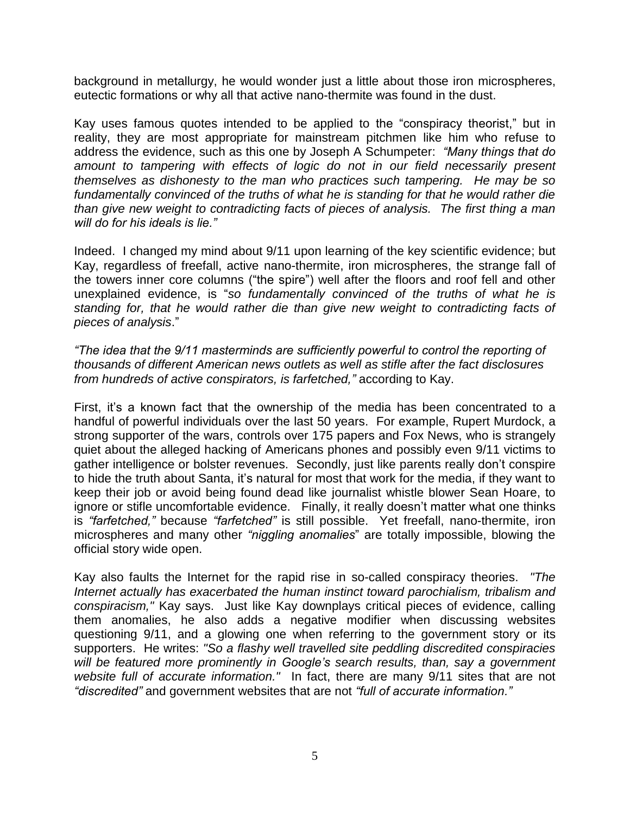background in metallurgy, he would wonder just a little about those iron microspheres, eutectic formations or why all that active nano-thermite was found in the dust.

Kay uses famous quotes intended to be applied to the "conspiracy theorist," but in reality, they are most appropriate for mainstream pitchmen like him who refuse to address the evidence, such as this one by Joseph A Schumpeter: *"Many things that do*  amount to tampering with effects of logic do not in our field necessarily present *themselves as dishonesty to the man who practices such tampering. He may be so fundamentally convinced of the truths of what he is standing for that he would rather die than give new weight to contradicting facts of pieces of analysis. The first thing a man will do for his ideals is lie."*

Indeed. I changed my mind about 9/11 upon learning of the key scientific evidence; but Kay, regardless of freefall, active nano-thermite, iron microspheres, the strange fall of the towers inner core columns ("the spire") well after the floors and roof fell and other unexplained evidence, is "*so fundamentally convinced of the truths of what he is standing for, that he would rather die than give new weight to contradicting facts of pieces of analysis*."

*"The idea that the 9/11 masterminds are sufficiently powerful to control the reporting of thousands of different American news outlets as well as stifle after the fact disclosures from hundreds of active conspirators, is farfetched,"* according to Kay.

First, it's a known fact that the ownership of the media has been concentrated to a handful of powerful individuals over the last 50 years. For example, Rupert Murdock, a strong supporter of the wars, controls over 175 papers and Fox News, who is strangely quiet about the alleged hacking of Americans phones and possibly even 9/11 victims to gather intelligence or bolster revenues. Secondly, just like parents really don't conspire to hide the truth about Santa, it's natural for most that work for the media, if they want to keep their job or avoid being found dead like journalist whistle blower Sean Hoare, to ignore or stifle uncomfortable evidence. Finally, it really doesn't matter what one thinks is *"farfetched,"* because *"farfetched"* is still possible. Yet freefall, nano-thermite, iron microspheres and many other *"niggling anomalies*" are totally impossible, blowing the official story wide open.

Kay also faults the Internet for the rapid rise in so-called conspiracy theories. *"The Internet actually has exacerbated the human instinct toward parochialism, tribalism and conspiracism,"* Kay says. Just like Kay downplays critical pieces of evidence, calling them anomalies, he also adds a negative modifier when discussing websites questioning 9/11, and a glowing one when referring to the government story or its supporters. He writes: *"So a flashy well travelled site peddling discredited conspiracies will be featured more prominently in Google's search results, than, say a government website full of accurate information."* In fact, there are many 9/11 sites that are not *"discredited"* and government websites that are not *"full of accurate information."*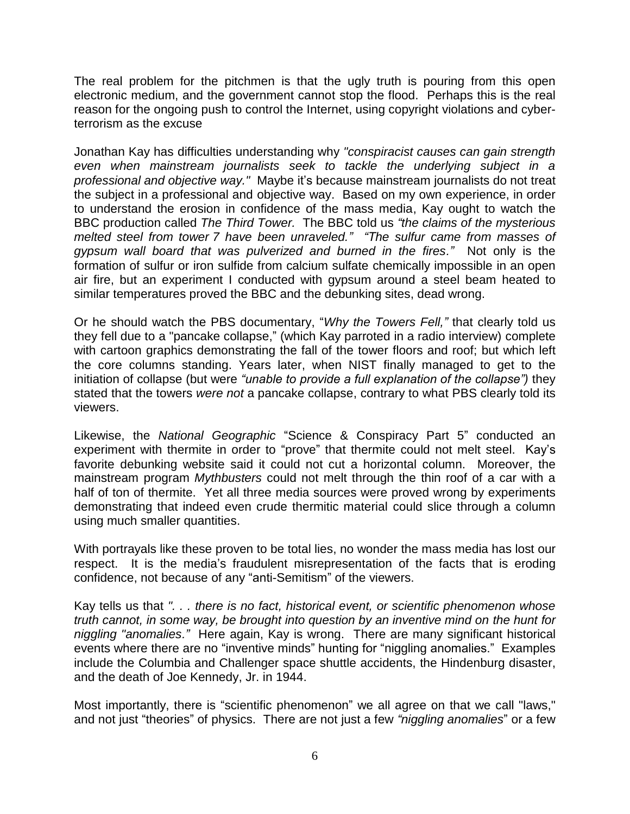The real problem for the pitchmen is that the ugly truth is pouring from this open electronic medium, and the government cannot stop the flood. Perhaps this is the real reason for the ongoing push to control the Internet, using copyright violations and cyberterrorism as the excuse

Jonathan Kay has difficulties understanding why *"conspiracist causes can gain strength even when mainstream journalists seek to tackle the underlying subject in a professional and objective way."* Maybe it's because mainstream journalists do not treat the subject in a professional and objective way. Based on my own experience, in order to understand the erosion in confidence of the mass media, Kay ought to watch the BBC production called *The Third Tower.* The BBC told us *"the claims of the mysterious melted steel from tower 7 have been unraveled." "The sulfur came from masses of gypsum wall board that was pulverized and burned in the fires."* Not only is the formation of sulfur or iron sulfide from calcium sulfate chemically impossible in an open air fire, but an experiment I conducted with gypsum around a steel beam heated to similar temperatures proved the BBC and the debunking sites, dead wrong.

Or he should watch the PBS documentary, "*Why the Towers Fell,"* that clearly told us they fell due to a "pancake collapse," (which Kay parroted in a radio interview) complete with cartoon graphics demonstrating the fall of the tower floors and roof; but which left the core columns standing. Years later, when NIST finally managed to get to the initiation of collapse (but were *"unable to provide a full explanation of the collapse")* they stated that the towers *were not* a pancake collapse, contrary to what PBS clearly told its viewers.

Likewise, the *National Geographic* "Science & Conspiracy Part 5" conducted an experiment with thermite in order to "prove" that thermite could not melt steel. Kay's favorite debunking website said it could not cut a horizontal column. Moreover, the mainstream program *Mythbusters* could not melt through the thin roof of a car with a half of ton of thermite. Yet all three media sources were proved wrong by experiments demonstrating that indeed even crude thermitic material could slice through a column using much smaller quantities.

With portrayals like these proven to be total lies, no wonder the mass media has lost our respect. It is the media's fraudulent misrepresentation of the facts that is eroding confidence, not because of any "anti-Semitism" of the viewers.

Kay tells us that *". . . there is no fact, historical event, or scientific phenomenon whose truth cannot, in some way, be brought into question by an inventive mind on the hunt for niggling "anomalies."* Here again, Kay is wrong. There are many significant historical events where there are no "inventive minds" hunting for "niggling anomalies." Examples include the Columbia and Challenger space shuttle accidents, the Hindenburg disaster, and the death of Joe Kennedy, Jr. in 1944.

Most importantly, there is "scientific phenomenon" we all agree on that we call "laws," and not just "theories" of physics. There are not just a few *"niggling anomalies*" or a few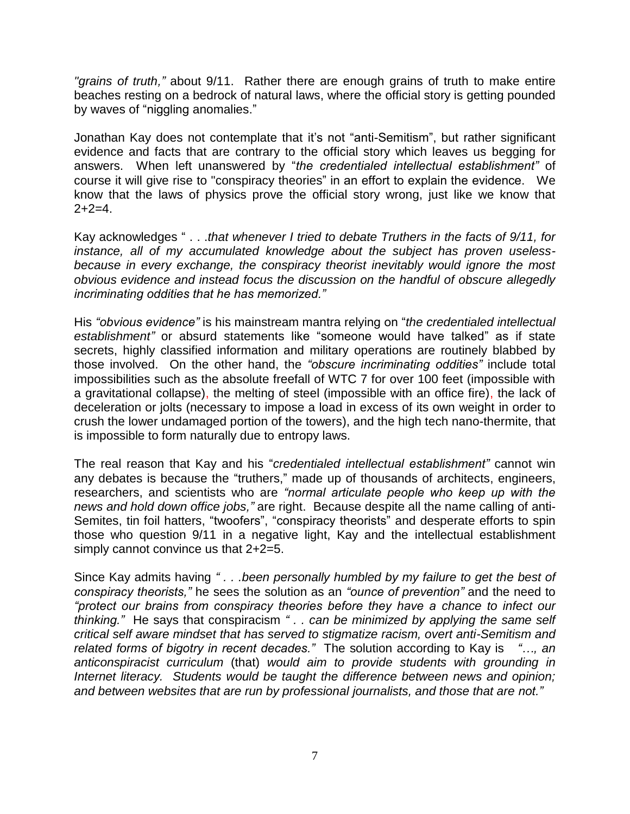*"grains of truth,"* about 9/11. Rather there are enough grains of truth to make entire beaches resting on a bedrock of natural laws, where the official story is getting pounded by waves of "niggling anomalies."

Jonathan Kay does not contemplate that it's not "anti-Semitism", but rather significant evidence and facts that are contrary to the official story which leaves us begging for answers. When left unanswered by "*the credentialed intellectual establishment"* of course it will give rise to "conspiracy theories" in an effort to explain the evidence. We know that the laws of physics prove the official story wrong, just like we know that  $2+2=4$ .

Kay acknowledges " . . .*that whenever I tried to debate Truthers in the facts of 9/11, for instance, all of my accumulated knowledge about the subject has proven uselessbecause in every exchange, the conspiracy theorist inevitably would ignore the most obvious evidence and instead focus the discussion on the handful of obscure allegedly incriminating oddities that he has memorized."*

His *"obvious evidence"* is his mainstream mantra relying on "*the credentialed intellectual establishment"* or absurd statements like "someone would have talked" as if state secrets, highly classified information and military operations are routinely blabbed by those involved. On the other hand, the *"obscure incriminating oddities"* include total impossibilities such as the absolute freefall of WTC 7 for over 100 feet (impossible with a gravitational collapse), the melting of steel (impossible with an office fire), the lack of deceleration or jolts (necessary to impose a load in excess of its own weight in order to crush the lower undamaged portion of the towers), and the high tech nano-thermite, that is impossible to form naturally due to entropy laws.

The real reason that Kay and his "*credentialed intellectual establishment"* cannot win any debates is because the "truthers," made up of thousands of architects, engineers, researchers, and scientists who are *"normal articulate people who keep up with the news and hold down office jobs,"* are right. Because despite all the name calling of anti-Semites, tin foil hatters, "twoofers", "conspiracy theorists" and desperate efforts to spin those who question 9/11 in a negative light, Kay and the intellectual establishment simply cannot convince us that 2+2=5.

Since Kay admits having *" . . .been personally humbled by my failure to get the best of conspiracy theorists,"* he sees the solution as an *"ounce of prevention"* and the need to *"protect our brains from conspiracy theories before they have a chance to infect our thinking."* He says that conspiracism *" . . can be minimized by applying the same self critical self aware mindset that has served to stigmatize racism, overt anti-Semitism and related forms of bigotry in recent decades."* The solution according to Kay is *"…, an anticonspiracist curriculum* (that) *would aim to provide students with grounding in Internet literacy. Students would be taught the difference between news and opinion; and between websites that are run by professional journalists, and those that are not."*